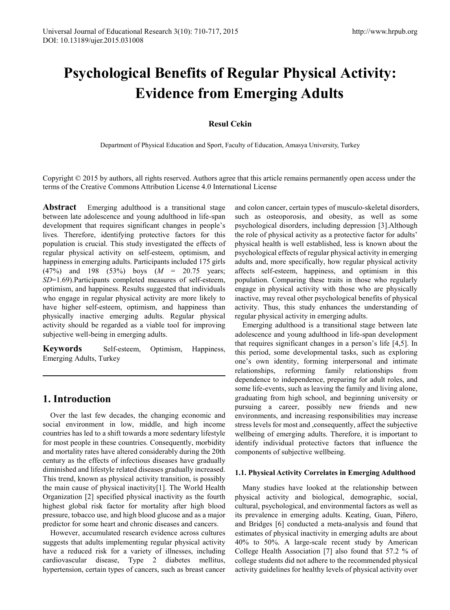# **Psychological Benefits of Regular Physical Activity: Evidence from Emerging Adults**

## **Resul Cekin**

Department of Physical Education and Sport, Faculty of Education, Amasya University, Turkey

Copyright © 2015 by authors, all rights reserved. Authors agree that this article remains permanently open access under the terms of the Creative Commons Attribution License 4.0 International License

**Abstract** Emerging adulthood is a transitional stage between late adolescence and young adulthood in life-span development that requires significant changes in people's lives. Therefore, identifying protective factors for this population is crucial. This study investigated the effects of regular physical activity on self-esteem, optimism, and happiness in emerging adults. Participants included 175 girls (47%) and 198 (53%) boys (*M* = 20.75 years; *SD*=1.69).Participants completed measures of self-esteem, optimism, and happiness. Results suggested that individuals who engage in regular physical activity are more likely to have higher self-esteem, optimism, and happiness than physically inactive emerging adults. Regular physical activity should be regarded as a viable tool for improving subjective well-being in emerging adults.

**Keywords** Self-esteem, Optimism, Happiness, Emerging Adults, Turkey

# **1. Introduction**

Over the last few decades, the changing economic and social environment in low, middle, and high income countries has led to a shift towards a more sedentary lifestyle for most people in these countries. Consequently, morbidity and mortality rates have altered considerably during the 20th century as the effects of infectious diseases have gradually diminished and lifestyle related diseases gradually increased. This trend, known as physical activity transition, is possibly the main cause of physical inactivity[1]. The World Health Organization [2] specified physical inactivity as the fourth highest global risk factor for mortality after high blood pressure, tobacco use, and high blood glucose and as a major predictor for some heart and chronic diseases and cancers.

However, accumulated research evidence across cultures suggests that adults implementing regular physical activity have a reduced risk for a variety of illnesses, including cardiovascular disease, Type 2 diabetes mellitus, hypertension, certain types of cancers, such as breast cancer

and colon cancer, certain types of musculo-skeletal disorders, such as osteoporosis, and obesity, as well as some psychological disorders, including depression [3].Although the role of physical activity as a protective factor for adults' physical health is well established, less is known about the psychological effects of regular physical activity in emerging adults and, more specifically, how regular physical activity affects self-esteem, happiness, and optimism in this population. Comparing these traits in those who regularly engage in physical activity with those who are physically inactive, may reveal other psychological benefits of physical activity. Thus, this study enhances the understanding of regular physical activity in emerging adults.

Emerging adulthood is a transitional stage between late adolescence and young adulthood in life-span development that requires significant changes in a person's life [4,5]. In this period, some developmental tasks, such as exploring one's own identity, forming interpersonal and intimate relationships, reforming family relationships from dependence to independence, preparing for adult roles, and some life-events, such as leaving the family and living alone, graduating from high school, and beginning university or pursuing a career, possibly new friends and new environments, and increasing responsibilities may increase stress levels for most and ,consequently, affect the subjective wellbeing of emerging adults. Therefore, it is important to identify individual protective factors that influence the components of subjective wellbeing.

#### **1.1. Physical Activity Correlates in Emerging Adulthood**

Many studies have looked at the relationship between physical activity and biological, demographic, social, cultural, psychological, and environmental factors as well as its prevalence in emerging adults. Keating, Guan, Piñero, and Bridges [6] conducted a meta-analysis and found that estimates of physical inactivity in emerging adults are about 40% to 50%. A large-scale recent study by American College Health Association [7] also found that 57.2 % of college students did not adhere to the recommended physical activity guidelines for healthy levels of physical activity over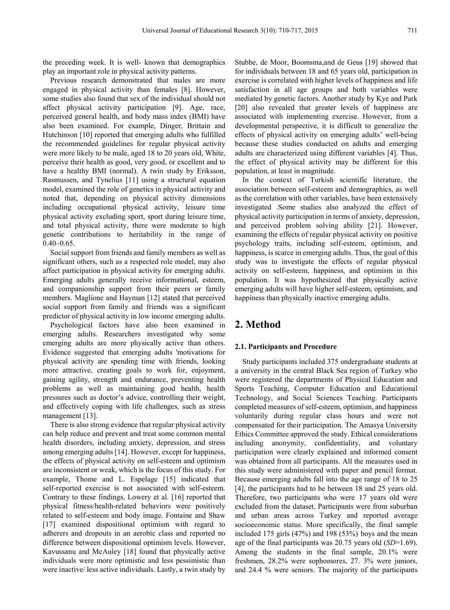the preceding week. It is well- known that demographics play an important role in physical activity patterns.

Previous research demonstrated that males are more engaged in physical activity than females [8]. However, some studies also found that sex of the individual should not affect physical activity participation [9]. Age, race, perceived general health, and body mass index (BMI) have also been examined. For example, Dinger, Brittain and Hutchinson [10] reported that emerging adults who fulfilled the recommended guidelines for regular physical activity were more likely to be male, aged 18 to 20 years old, White, perceive their health as good, very good, or excellent and to have a healthy BMI (normal). A twin study by Eriksson, Rasmussen, and Tynelius [11] using a structural equation model, examined the role of genetics in physical activity and noted that, depending on physical activity dimensions including occupational physical activity, leisure time physical activity excluding sport, sport during leisure time, and total physical activity, there were moderate to high genetic contributions to heritability in the range of  $0.40 - 0.65$ .

Social support from friends and family members as well as significant others, such as a respected role model, may also affect participation in physical activity for emerging adults. Emerging adults generally receive informational, esteem, and companionship support from their peers or family members. Maglione and Hayman [12] stated that perceived social support from family and friends was a significant predictor of physical activity in low income emerging adults.

Psychological factors have also been examined in emerging adults. Researchers investigated why some emerging adults are more physically active than others. Evidence suggested that emerging adults 'motivations for physical activity are spending time with friends, looking more attractive, creating goals to work for, enjoyment, gaining agility, strength and endurance, preventing health problems as well as maintaining good health, health pressures such as doctor's advice, controlling their weight, and effectively coping with life challenges, such as stress management [13].

There is also strong evidence that regular physical activity can help reduce and prevent and treat some common mental health disorders, including anxiety, depression, and stress among emerging adults [14]. However, except for happiness, the effects of physical activity on self-esteem and optimism are inconsistent or weak, which is the focus of this study. For example, Thome and L. Espelage [15] indicated that self-reported exercise is not associated with self-esteem. Contrary to these findings, Lowery et al. [16] reported that physical fitness/health-related behaviors were positively related to self-esteem and body image. Fontaine and Shaw [17] examined dispositional optimism with regard to adherers and dropouts in an aerobic class and reported no difference between dispositional optimism levels. However, Kavussanu and McAuley [18] found that physically active individuals were more optimistic and less pessimistic than were inactive/ less active individuals. Lastly, a twin study by

Stubbe, de Moor, Boomsma,and de Geus [19] showed that for individuals between 18 and 65 years old, participation in exercise is correlated with higher levels of happiness and life satisfaction in all age groups and both variables were mediated by genetic factors. Another study by Kye and Park [20] also revealed that greater levels of happiness are associated with implementing exercise. However, from a developmental perspective, it is difficult to generalize the effects of physical activity on emerging adults' well-being because these studies conducted on adults and emerging adults are characterized using different variables [4]. Thus, the effect of physical activity may be different for this population, at least in magnitude.

In the context of Turkish scientific literature, the association between self-esteem and demographics, as well as the correlation with other variables, have been extensively investigated .Some studies also analyzed the effect of physical activity participation in terms of anxiety, depression, and perceived problem solving ability [21]. However, examining the effects of regular physical activity on positive psychology traits, including self-esteem, optimism, and happiness, is scarce in emerging adults. Thus, the goal of this study was to investigate the effects of regular physical activity on self-esteem, happiness, and optimism in this population. It was hypothesized that physically active emerging adults will have higher self-esteem, optimism, and happiness than physically inactive emerging adults.

# **2. Method**

#### **2.1. Participants and Procedure**

Study participants included 375 undergraduate students at a university in the central Black Sea region of Turkey who were registered the departments of Physical Education and Sports Teaching, Computer Education and Educational Technology, and Social Sciences Teaching. Participants completed measures of self-esteem, optimism, and happiness voluntarily during regular class hours and were not compensated for their participation. The Amasya University Ethics Committee approved the study. Ethical considerations including anonymity, confidentiality, and voluntary participation were clearly explained and informed consent was obtained from all participants. All the measures used in this study were administered with paper and pencil format. Because emerging adults fall into the age range of 18 to 25 [4], the participants had to be between 18 and 25 years old. Therefore, two participants who were 17 years old were excluded from the dataset. Participants were from suburban and urban areas across Turkey and reported average socioeconomic status. More specifically, the final sample included 175 girls (47%) and 198 (53%) boys and the mean age of the final participants was 20.75 years old (*SD*=1.69). Among the students in the final sample, 20.1% were freshmen, 28.2% were sophomores, 27. 3% were juniors, and 24.4 % were seniors. The majority of the participants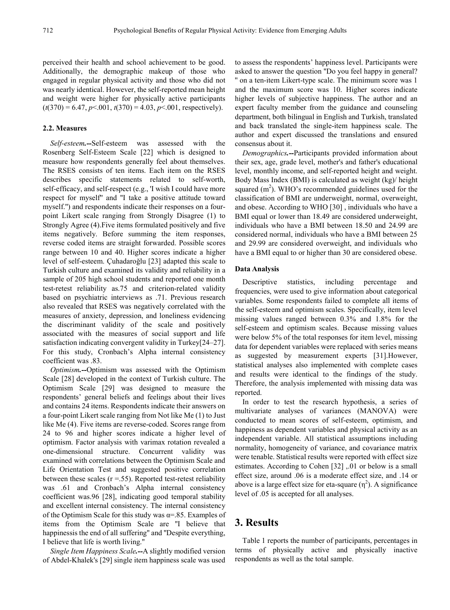perceived their health and school achievement to be good. Additionally, the demographic makeup of those who engaged in regular physical activity and those who did not was nearly identical. However, the self-reported mean height and weight were higher for physically active participants  $(t(370) = 6.47, p < 0.001, t(370) = 4.03, p < 0.01$ , respectively).

#### **2.2. Measures**

*Self-esteem.--*Self-esteem was assessed with the Rosenberg Self-Esteem Scale [22] which is designed to measure how respondents generally feel about themselves. The RSES consists of ten items. Each item on the RSES describes specific statements related to self-worth, self-efficacy, and self-respect (e.g., 'I wish I could have more respect for myself'' and ''I take a positive attitude toward myself.'') and respondents indicate their responses on a fourpoint Likert scale ranging from Strongly Disagree (1) to Strongly Agree (4).Five items formulated positively and five items negatively. Before summing the item responses, reverse coded items are straight forwarded. Possible scores range between 10 and 40. Higher scores indicate a higher level of self-esteem. Çuhadaroğlu [23] adapted this scale to Turkish culture and examined its validity and reliability in a sample of 205 high school students and reported one month test-retest reliability as.75 and criterion-related validity based on psychiatric interviews as .71. Previous research also revealed that RSES was negatively correlated with the measures of anxiety, depression, and loneliness evidencing the discriminant validity of the scale and positively associated with the measures of social support and life satisfaction indicating convergent validity in Turkey[24–27]. For this study, Cronbach's Alpha internal consistency coefficient was .83.

*Optimism.--*Optimism was assessed with the Optimism Scale [28] developed in the context of Turkish culture. The Optimism Scale [29] was designed to measure the respondents' general beliefs and feelings about their lives and contains 24 items. Respondents indicate their answers on a four-point Likert scale ranging from Not like Me (1) to Just like Me (4). Five items are reverse-coded. Scores range from 24 to 96 and higher scores indicate a higher level of optimism. Factor analysis with varimax rotation revealed a one-dimensional structure. Concurrent validity was examined with correlations between the Optimism Scale and Life Orientation Test and suggested positive correlation between these scales  $(r = .55)$ . Reported test-retest reliability was .61 and Cronbach's Alpha internal consistency coefficient was.96 [28], indicating good temporal stability and excellent internal consistency. The internal consistency of the Optimism Scale for this study was  $\alpha$ =.85. Examples of items from the Optimism Scale are ''I believe that happinessis the end of all suffering'' and ''Despite everything, I believe that life is worth living.''

*Single Item Happiness Scale.--*A slightly modified version of Abdel-Khalek's [29] single item happiness scale was used

to assess the respondents' happiness level. Participants were asked to answer the question ''Do you feel happy in general? '' on a ten-item Likert-type scale. The minimum score was 1 and the maximum score was 10. Higher scores indicate higher levels of subjective happiness. The author and an expert faculty member from the guidance and counseling department, both bilingual in English and Turkish, translated and back translated the single-item happiness scale. The author and expert discussed the translations and ensured consensus about it.

*Demographics.--*Participants provided information about their sex, age, grade level, mother's and father's educational level, monthly income, and self-reported height and weight. Body Mass Index (BMI) is calculated as weight (kg)/ height squared  $(m<sup>2</sup>)$ . WHO's recommended guidelines used for the classification of BMI are underweight, normal, overweight, and obese. According to WHO [30] , individuals who have a BMI equal or lower than 18.49 are considered underweight, individuals who have a BMI between 18.50 and 24.99 are considered normal, individuals who have a BMI between 25 and 29.99 are considered overweight, and individuals who have a BMI equal to or higher than 30 are considered obese.

#### **Data Analysis**

Descriptive statistics, including percentage and frequencies, were used to give information about categorical variables. Some respondents failed to complete all items of the self-esteem and optimism scales. Specifically, item level missing values ranged between 0.3% and 1.8% for the self-esteem and optimism scales. Because missing values were below 5% of the total responses for item level, missing data for dependent variables were replaced with series means as suggested by measurement experts [31].However, statistical analyses also implemented with complete cases and results were identical to the findings of the study. Therefore, the analysis implemented with missing data was reported.

In order to test the research hypothesis, a series of multivariate analyses of variances (MANOVA) were conducted to mean scores of self-esteem, optimism, and happiness as dependent variables and physical activity as an independent variable. All statistical assumptions including normality, homogeneity of variance, and covariance matrix were tenable. Statistical results were reported with effect size estimates. According to Cohen [32] ,.01 or below is a small effect size, around .06 is a moderate effect size, and .14 or above is a large effect size for eta-square  $(\eta^2)$ . A significance level of .05 is accepted for all analyses.

## **3. Results**

Table 1 reports the number of participants, percentages in terms of physically active and physically inactive respondents as well as the total sample.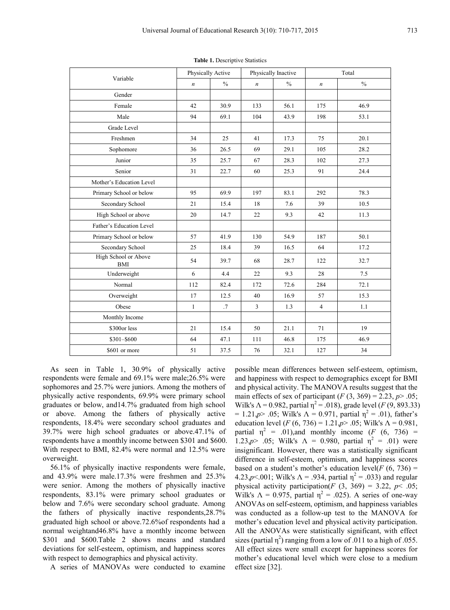| Variable                           | Physically Active |               | Physically Inactive |               | Total            |               |
|------------------------------------|-------------------|---------------|---------------------|---------------|------------------|---------------|
|                                    | $\boldsymbol{n}$  | $\frac{0}{0}$ | $\boldsymbol{n}$    | $\frac{0}{0}$ | $\boldsymbol{n}$ | $\frac{0}{0}$ |
| Gender                             |                   |               |                     |               |                  |               |
| Female                             | 42                | 30.9          | 133                 | 56.1          | 175              | 46.9          |
| Male                               | 94                | 69.1          | 104                 | 43.9          | 198              | 53.1          |
| Grade Level                        |                   |               |                     |               |                  |               |
| Freshmen                           | 34                | 25            | 41                  | 17.3          | 75               | 20.1          |
| Sophomore                          | 36                | 26.5          | 69                  | 29.1          | 105              | 28.2          |
| Junior                             | 35                | 25.7          | 67                  | 28.3          | 102              | 27.3          |
| Senior                             | 31                | 22.7          | 60                  | 25.3          | 91               | 24.4          |
| Mother's Education Level           |                   |               |                     |               |                  |               |
| Primary School or below            | 95                | 69.9          | 197                 | 83.1          | 292              | 78.3          |
| Secondary School                   | 21                | 15.4          | 18                  | 7.6           | 39               | 10.5          |
| High School or above               | 20                | 14.7          | 22                  | 9.3           | 42               | 11.3          |
| Father's Education Level           |                   |               |                     |               |                  |               |
| Primary School or below            | 57                | 41.9          | 130                 | 54.9          | 187              | 50.1          |
| Secondary School                   | 25                | 18.4          | 39                  | 16.5          | 64               | 17.2          |
| High School or Above<br><b>BMI</b> | 54                | 39.7          | 68                  | 28.7          | 122              | 32.7          |
| Underweight                        | 6                 | 4.4           | 22                  | 9.3           | 28               | 7.5           |
| Normal                             | 112               | 82.4          | 172                 | 72.6          | 284              | 72.1          |
| Overweight                         | 17                | 12.5          | 40                  | 16.9          | 57               | 15.3          |
| Obese                              | $\mathbf{1}$      | .7            | $\overline{3}$      | 1.3           | $\overline{4}$   | 1.1           |
| Monthly Income                     |                   |               |                     |               |                  |               |
| \$300or less                       | 21                | 15.4          | 50                  | 21.1          | 71               | 19            |
| \$301-\$600                        | 64                | 47.1          | 111                 | 46.8          | 175              | 46.9          |
| \$601 or more                      | 51                | 37.5          | 76                  | 32.1          | 127              | 34            |

**Table 1.** Descriptive Statistics

As seen in Table 1, 30.9% of physically active respondents were female and 69.1% were male;26.5% were sophomores and 25.7% were juniors. Among the mothers of physically active respondents, 69.9% were primary school graduates or below, and14.7% graduated from high school or above. Among the fathers of physically active respondents, 18.4% were secondary school graduates and 39.7% were high school graduates or above.47.1% of respondents have a monthly income between \$301 and \$600. With respect to BMI, 82.4% were normal and 12.5% were overweight.

56.1% of physically inactive respondents were female, and 43.9% were male.17.3% were freshmen and 25.3% were senior. Among the mothers of physically inactive respondents, 83.1% were primary school graduates or below and 7.6% were secondary school graduate. Among the fathers of physically inactive respondents,28.7% graduated high school or above.72.6%of respondents had a normal weightand46.8% have a monthly income between \$301 and \$600.Table 2 shows means and standard deviations for self-esteem, optimism, and happiness scores with respect to demographics and physical activity.

A series of MANOVAs were conducted to examine

possible mean differences between self-esteem, optimism, and happiness with respect to demographics except for BMI and physical activity. The MANOVA results suggest that the main effects of sex of participant  $(F(3, 369) = 2.23, p > .05;$ Wilk's  $Λ = 0.982$ , partial  $η<sup>2</sup> = .018$ ), grade level (*F* (9, 893.33) = 1.21,*p*> .05; Wilk's  $\Lambda$  = 0.971, partial  $\eta^2$  = .01), father's education level  $(F (6, 736) = 1.21, p > .05;$  Wilk's  $\Lambda = 0.981,$ partial  $\eta^2$  = .01), and monthly income (*F* (6, 736) = 1.23,*p*> .05; Wilk's  $\Lambda = 0.980$ , partial  $\eta^2 = .01$ ) were insignificant. However, there was a statistically significant difference in self-esteem, optimism, and happiness scores based on a student's mother's education level( $F$  (6, 736) = 4.23,*p*<.001; Wilk's  $\Lambda$  = .934, partial  $\eta^2$  = .033) and regular physical activity participation( $F(3, 369) = 3.22$ ,  $p \le .05$ ; Wilk's  $\Lambda = 0.975$ , partial  $\eta^2 = .025$ ). A series of one-way ANOVAs on self-esteem, optimism, and happiness variables was conducted as a follow-up test to the MANOVA for mother's education level and physical activity participation. All the ANOVAs were statistically significant, with effect sizes (partial  $\eta^2$ ) ranging from a low of .011 to a high of .055. All effect sizes were small except for happiness scores for mother's educational level which were close to a medium effect size [32].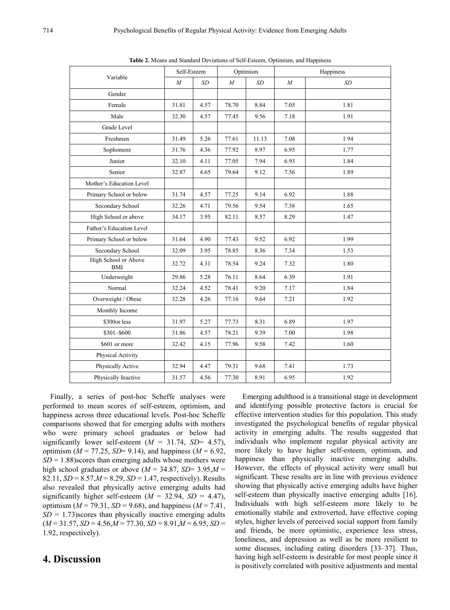| Variable                           | Self-Esteem |      | Optimism |       | Happiness |      |
|------------------------------------|-------------|------|----------|-------|-----------|------|
|                                    | $\cal M$    | SD   | $\cal M$ | SD    | $\cal M$  | SD   |
| Gender                             |             |      |          |       |           |      |
| Female                             | 31.81       | 4.57 | 78.70    | 8.84  | 7.05      | 1.81 |
| Male                               | 32.30       | 4.57 | 77.45    | 9.56  | 7.18      | 1.91 |
| Grade Level                        |             |      |          |       |           |      |
| Freshmen                           | 31.49       | 5.26 | 77.61    | 11.13 | 7.08      | 1.94 |
| Sophomore                          | 31.76       | 4.36 | 77.92    | 8.97  | 6.95      | 1.77 |
| Junior                             | 32.10       | 4.11 | 77.05    | 7.94  | 6.93      | 1.84 |
| Senior                             | 32.87       | 4.65 | 79.64    | 9.12  | 7.56      | 1.89 |
| Mother's Education Level           |             |      |          |       |           |      |
| Primary School or below            | 31.74       | 4.57 | 77.25    | 9.14  | 6.92      | 1.88 |
| Secondary School                   | 32.26       | 4.71 | 79.56    | 9.54  | 7.38      | 1.65 |
| High School or above               | 34.17       | 3.95 | 82.11    | 8.57  | 8.29      | 1.47 |
| Father's Education Level           |             |      |          |       |           |      |
| Primary School or below            | 31.64       | 4.90 | 77.43    | 9.52  | 6.92      | 1.99 |
| Secondary School                   | 32.09       | 3.95 | 78.85    | 8.36  | 7.34      | 1.53 |
| High School or Above<br><b>BMI</b> | 32.72       | 4.31 | 78.54    | 9.24  | 7.32      | 1.80 |
| Underweight                        | 29.86       | 5.28 | 76.11    | 8.64  | 6.39      | 1.91 |
| Normal                             | 32.24       | 4.52 | 78.41    | 9.20  | 7.17      | 1.84 |
| Overweight / Obese                 | 32.28       | 4.26 | 77.16    | 9.64  | 7.21      | 1.92 |
| Monthly Income                     |             |      |          |       |           |      |
| \$300or less                       | 31.97       | 5.27 | 77.73    | 8.31  | 6.89      | 1.97 |
| \$301-\$600                        | 31.86       | 4.57 | 78.21    | 9.39  | 7.00      | 1.98 |
| \$601 or more                      | 32.42       | 4.15 | 77.96    | 9.58  | 7.42      | 1.60 |
| Physical Activity                  |             |      |          |       |           |      |
| Physically Active                  | 32.94       | 4.47 | 79.31    | 9.68  | 7.41      | 1.73 |
| Physically Inactive                | 31.57       | 4.56 | 77.30    | 8.91  | 6.95      | 1.92 |

**Table 2.** Means and Standard Deviations of Self-Esteem, Optimism, and Happiness

Finally, a series of post-hoc Scheffe analyses were performed to mean scores of self-esteem, optimism, and happiness across three educational levels. Post-hoc Scheffe comparisons showed that for emerging adults with mothers who were primary school graduates or below had significantly lower self-esteem  $(M = 31.74, SD = 4.57)$ , optimism ( $M = 77.25$ ,  $SD = 9.14$ ), and happiness ( $M = 6.92$ ,  $SD = 1.88$ ) scores than emerging adults whose mothers were high school graduates or above ( $M = 34.87$ ,  $SD = 3.95$ , $M =$ 82.11, *SD* = 8.57,*M* = 8.29, *SD* = 1.47, respectively). Results also revealed that physically active emerging adults had significantly higher self-esteem  $(M = 32.94, SD = 4.47)$ , optimism ( $M = 79.31$ ,  $SD = 9.68$ ), and happiness ( $M = 7.41$ ,  $SD = 1.73$ ) scores than physically inactive emerging adults  $(M = 31.57, SD = 4.56, M = 77.30, SD = 8.91, M = 6.95, SD =$ 1.92, respectively).

## **4. Discussion**

Emerging adulthood is a transitional stage in development and identifying possible protective factors is crucial for effective intervention studies for this population. This study investigated the psychological benefits of regular physical activity in emerging adults. The results suggested that individuals who implement regular physical activity are more likely to have higher self-esteem, optimism, and happiness than physically inactive emerging adults. However, the effects of physical activity were small but significant. These results are in line with previous evidence showing that physically active emerging adults have higher self-esteem than physically inactive emerging adults [16]. Individuals with high self-esteem more likely to be emotionally stabile and extroverted, have effective coping styles, higher levels of perceived social support from family and friends, be more optimistic, experience less stress, loneliness, and depression as well as be more resilient to some diseases, including eating disorders [33–37]. Thus, having high self-esteem is desirable for most people since it is positively correlated with positive adjustments and mental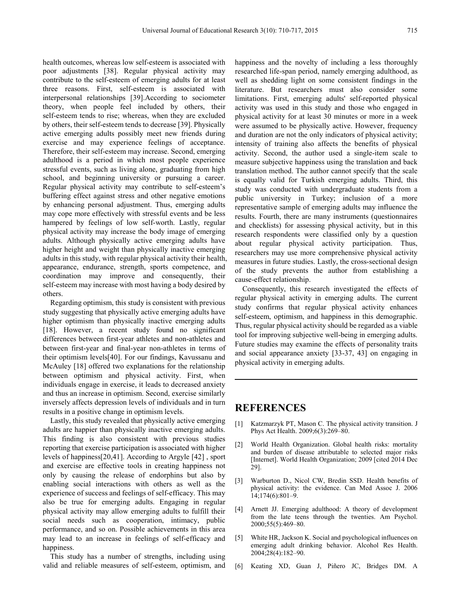health outcomes, whereas low self-esteem is associated with poor adjustments [38]. Regular physical activity may contribute to the self-esteem of emerging adults for at least three reasons. First, self-esteem is associated with interpersonal relationships [39].According to sociometer theory, when people feel included by others, their self-esteem tends to rise; whereas, when they are excluded by others, their self-esteem tends to decrease [39]. Physically active emerging adults possibly meet new friends during exercise and may experience feelings of acceptance. Therefore, their self-esteem may increase. Second, emerging adulthood is a period in which most people experience stressful events, such as living alone, graduating from high school, and beginning university or pursuing a career. Regular physical activity may contribute to self-esteem's buffering effect against stress and other negative emotions by enhancing personal adjustment. Thus, emerging adults may cope more effectively with stressful events and be less hampered by feelings of low self-worth. Lastly, regular physical activity may increase the body image of emerging adults. Although physically active emerging adults have higher height and weight than physically inactive emerging adults in this study, with regular physical activity their health, appearance, endurance, strength, sports competence, and coordination may improve and consequently, their self-esteem may increase with most having a body desired by others.

Regarding optimism, this study is consistent with previous study suggesting that physically active emerging adults have higher optimism than physically inactive emerging adults [18]. However, a recent study found no significant differences between first-year athletes and non-athletes and between first-year and final-year non-athletes in terms of their optimism levels[40]. For our findings, Kavussanu and McAuley [18] offered two explanations for the relationship between optimism and physical activity. First, when individuals engage in exercise, it leads to decreased anxiety and thus an increase in optimism. Second, exercise similarly inversely affects depression levels of individuals and in turn results in a positive change in optimism levels.

Lastly, this study revealed that physically active emerging adults are happier than physically inactive emerging adults. This finding is also consistent with previous studies reporting that exercise participation is associated with higher levels of happiness[20,41]. According to Argyle [42] , sport and exercise are effective tools in creating happiness not only by causing the release of endorphins but also by enabling social interactions with others as well as the experience of success and feelings of self-efficacy. This may also be true for emerging adults. Engaging in regular physical activity may allow emerging adults to fulfill their social needs such as cooperation, intimacy, public performance, and so on. Possible achievements in this area may lead to an increase in feelings of self-efficacy and happiness.

This study has a number of strengths, including using valid and reliable measures of self-esteem, optimism, and

happiness and the novelty of including a less thoroughly researched life-span period, namely emerging adulthood, as well as shedding light on some consistent findings in the literature. But researchers must also consider some limitations. First, emerging adults' self-reported physical activity was used in this study and those who engaged in physical activity for at least 30 minutes or more in a week were assumed to be physically active. However, frequency and duration are not the only indicators of physical activity; intensity of training also affects the benefits of physical activity. Second, the author used a single-item scale to measure subjective happiness using the translation and back translation method. The author cannot specify that the scale is equally valid for Turkish emerging adults. Third, this study was conducted with undergraduate students from a public university in Turkey; inclusion of a more representative sample of emerging adults may influence the results. Fourth, there are many instruments (questionnaires and checklists) for assessing physical activity, but in this research respondents were classified only by a question about regular physical activity participation. Thus, researchers may use more comprehensive physical activity measures in future studies. Lastly, the cross-sectional design of the study prevents the author from establishing a cause-effect relationship.

Consequently, this research investigated the effects of regular physical activity in emerging adults. The current study confirms that regular physical activity enhances self-esteem, optimism, and happiness in this demographic. Thus, regular physical activity should be regarded as a viable tool for improving subjective well-being in emerging adults. Future studies may examine the effects of personality traits and social appearance anxiety [33-37, 43] on engaging in physical activity in emerging adults.

### **REFERENCES**

- [1] Katzmarzyk PT, Mason C. The physical activity transition. J Phys Act Health. 2009;6(3):269–80.
- [2] World Health Organization. Global health risks: mortality and burden of disease attributable to selected major risks [Internet]. World Health Organization; 2009 [cited 2014 Dec 29].
- [3] Warburton D., Nicol CW, Bredin SSD. Health benefits of physical activity: the evidence. Can Med Assoc J. 2006 14;174(6):801–9.
- [4] Arnett JJ. Emerging adulthood: A theory of development from the late teens through the twenties. Am Psychol. 2000;55(5):469–80.
- [5] White HR, Jackson K. Social and psychological influences on emerging adult drinking behavior. Alcohol Res Health. 2004;28(4):182–90.
- [6] Keating XD, Guan J, Piñero JC, Bridges DM. A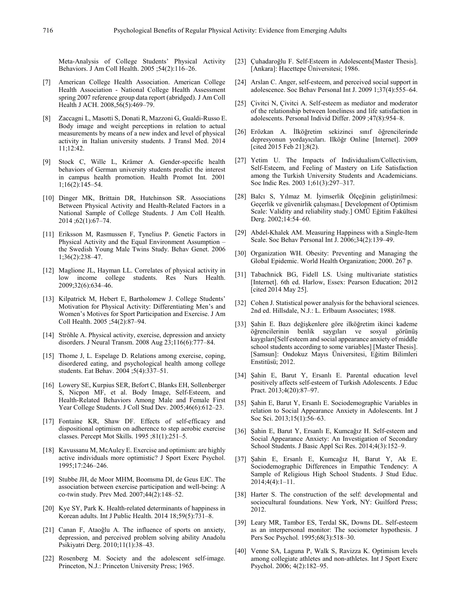Meta-Analysis of College Students' Physical Activity Behaviors. J Am Coll Health. 2005 ;54(2):116–26.

- [7] American College Health Association. American College Health Association - National College Health Assessment spring 2007 reference group data report (abridged). J Am Coll Health J ACH. 2008,56(5):469–79.
- [8] Zaccagni L, Masotti S, Donati R, Mazzoni G, Gualdi-Russo E. Body image and weight perceptions in relation to actual measurements by means of a new index and level of physical activity in Italian university students. J Transl Med. 2014 11;12:42.
- [9] Stock C, Wille L, Krämer A. Gender-specific health behaviors of German university students predict the interest in campus health promotion. Health Promot Int. 2001 1;16(2):145–54.
- [10] Dinger MK, Brittain DR, Hutchinson SR. Associations Between Physical Activity and Health-Related Factors in a National Sample of College Students. J Am Coll Health. 2014 ;62(1):67–74.
- [11] Eriksson M, Rasmussen F, Tynelius P. Genetic Factors in Physical Activity and the Equal Environment Assumption – the Swedish Young Male Twins Study. Behav Genet. 2006 1;36(2):238–47.
- [12] Maglione JL, Hayman LL. Correlates of physical activity in low income college students. Res Nurs Health. 2009;32(6):634–46.
- [13] Kilpatrick M, Hebert E, Bartholomew J. College Students' Motivation for Physical Activity: Differentiating Men's and Women's Motives for Sport Participation and Exercise. J Am Coll Health. 2005 ;54(2):87–94.
- [14] Ströhle A. Physical activity, exercise, depression and anxiety disorders. J Neural Transm. 2008 Aug 23;116(6):777–84.
- [15] Thome J, L. Espelage D. Relations among exercise, coping, disordered eating, and psychological health among college students. Eat Behav. 2004 ;5(4):337–51.
- [16] Lowery SE, Kurpius SER, Befort C, Blanks EH, Sollenberger S, Nicpon MF, et al. Body Image, Self-Esteem, and Health-Related Behaviors Among Male and Female First Year College Students. J Coll Stud Dev. 2005;46(6):612–23.
- [17] Fontaine KR, Shaw DF. Effects of self-efficacy and dispositional optimism on adherence to step aerobic exercise classes. Percept Mot Skills. 1995 ;81(1):251–5.
- [18] Kavussanu M, McAuley E. Exercise and optimism: are highly active individuals more optimistic? J Sport Exerc Psychol. 1995;17:246–246.
- [19] Stubbe JH, de Moor MHM, Boomsma DI, de Geus EJC. The association between exercise participation and well-being: A co-twin study. Prev Med. 2007;44(2):148–52.
- [20] Kye SY, Park K. Health-related determinants of happiness in Korean adults. Int J Public Health. 2014 18;59(5):731–8.
- [21] Canan F, Ataoğlu A. The influence of sports on anxiety, depression, and perceived problem solving ability Anadolu Psikiyatri Derg. 2010;11(1):38–43.
- [22] Rosenberg M. Society and the adolescent self-image. Princeton, N.J.: Princeton University Press; 1965.
- [23] Cuhadaroğlu F. Self-Esteem in Adolescents[Master Thesis]. [Ankara]: Hacettepe Üniversitesi; 1986.
- [24] Arslan C. Anger, self-esteem, and perceived social support in adolescence. Soc Behav Personal Int J. 2009 1;37(4):555–64.
- [25] Çivitci N, Çivitci A. Self-esteem as mediator and moderator of the relationship between loneliness and life satisfaction in adolescents. Personal Individ Differ. 2009 ;47(8):954–8.
- [26] Erözkan A. İlköğretim sekizinci sınıf öğrencilerinde depresyonun yordayıcıları. Ilköğr Online [Internet]. 2009 [cited 2015 Feb 21];8(2).
- [27] Yetim U. The Impacts of Individualism/Collectivism, Self-Esteem, and Feeling of Mastery on Life Satisfaction among the Turkish University Students and Academicians. Soc Indic Res. 2003 1;61(3):297–317.
- [28] Balcı S, Yılmaz M. İyimserlik Ölçeğinin geliştirilmesi: Geçerlik ve güvenirlik çalışması.[ Development of Optimism Scale: Validity and reliability study.] OMÜ Eğitim Fakültesi Derg. 2002;14:54–60.
- [29] Abdel-Khalek AM. Measuring Happiness with a Single-Item Scale. Soc Behav Personal Int J. 2006;34(2):139–49.
- [30] Organization WH. Obesity: Preventing and Managing the Global Epidemic. World Health Organization; 2000. 267 p.
- [31] Tabachnick BG, Fidell LS. Using multivariate statistics [Internet]. 6th ed. Harlow, Essex: Pearson Education; 2012 [cited 2014 May 25].
- [32] Cohen J. Statistical power analysis for the behavioral sciences. 2nd ed. Hillsdale, N.J.: L. Erlbaum Associates; 1988.
- [33] Şahin E. Bazı değişkenlere göre ilköğretim ikinci kademe öğrencilerinin benlik saygıları ve sosyal görünüş kaygıları[Self esteem and social appearance anxiety of middle school students according to some variables] [Master Thesis]. [Samsun]: Ondokuz Mayıs Üniversitesi, Eğitim Bilimleri Enstitüsü; 2012.
- [34] Şahin E, Barut Y, Ersanlı E. Parental education level positively affects self-esteem of Turkish Adolescents. J Educ Pract. 2013;4(20):87–97.
- [35] Şahin E, Barut Y, Ersanlı E. Sociodemographic Variables in relation to Social Appearance Anxiety in Adolescents. Int J Soc Sci. 2013;15(1):56–63.
- [36] Şahin E, Barut Y, Ersanlı E, Kumcağız H. Self-esteem and Social Appearance Anxiety: An Investigation of Secondary School Students. J Basic Appl Sci Res. 2014;4(3):152–9.
- [37] Şahin E, Ersanlı E, Kumcağız H, Barut Y, Ak E. Sociodemographic Differences in Empathic Tendency: A Sample of Religious High School Students. J Stud Educ. 2014;4(4):1–11.
- [38] Harter S. The construction of the self: developmental and sociocultural foundations. New York, NY: Guilford Press; 2012.
- [39] Leary MR, Tambor ES, Terdal SK, Downs DL. Self-esteem as an interpersonal monitor: The sociometer hypothesis. J Pers Soc Psychol. 1995;68(3):518–30.
- [40] Venne SA, Laguna P, Walk S, Ravizza K. Optimism levels among collegiate athletes and non‐athletes. Int J Sport Exerc Psychol. 2006; 4(2):182–95.